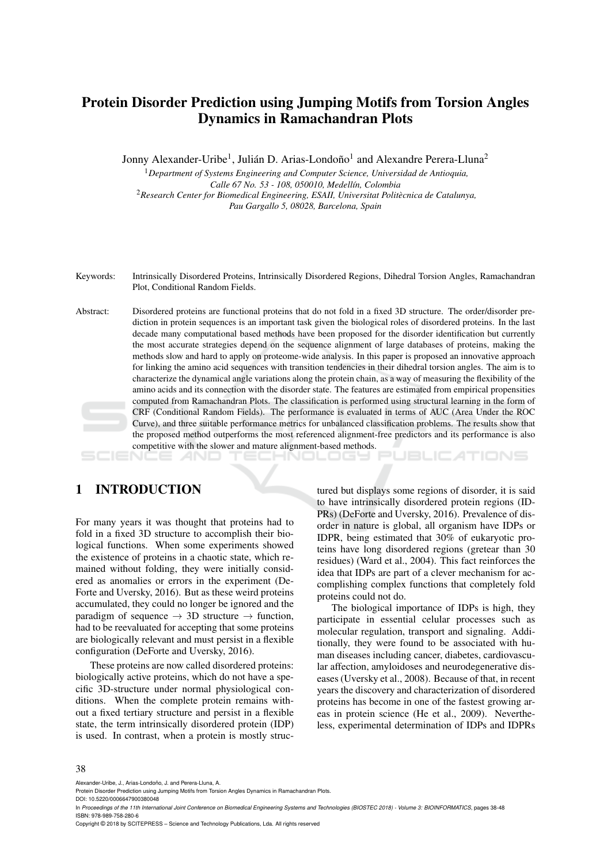# Protein Disorder Prediction using Jumping Motifs from Torsion Angles Dynamics in Ramachandran Plots

Jonny Alexander-Uribe<sup>1</sup>, Julián D. Arias-Londoño<sup>1</sup> and Alexandre Perera-Lluna<sup>2</sup>

<sup>1</sup>*Department of Systems Engineering and Computer Science, Universidad de Antioquia, Calle 67 No. 53 - 108, 050010, Medell´ın, Colombia* <sup>2</sup>*Research Center for Biomedical Engineering, ESAII, Universitat Politecnica de Catalunya, ` Pau Gargallo 5, 08028, Barcelona, Spain*

Keywords: Intrinsically Disordered Proteins, Intrinsically Disordered Regions, Dihedral Torsion Angles, Ramachandran Plot, Conditional Random Fields.

Abstract: Disordered proteins are functional proteins that do not fold in a fixed 3D structure. The order/disorder prediction in protein sequences is an important task given the biological roles of disordered proteins. In the last decade many computational based methods have been proposed for the disorder identification but currently the most accurate strategies depend on the sequence alignment of large databases of proteins, making the methods slow and hard to apply on proteome-wide analysis. In this paper is proposed an innovative approach for linking the amino acid sequences with transition tendencies in their dihedral torsion angles. The aim is to characterize the dynamical angle variations along the protein chain, as a way of measuring the flexibility of the amino acids and its connection with the disorder state. The features are estimated from empirical propensities computed from Ramachandran Plots. The classification is performed using structural learning in the form of CRF (Conditional Random Fields). The performance is evaluated in terms of AUC (Area Under the ROC Curve), and three suitable performance metrics for unbalanced classification problems. The results show that the proposed method outperforms the most referenced alignment-free predictors and its performance is also competitive with the slower and mature alignment-based methods.

## 1 INTRODUCTION

For many years it was thought that proteins had to fold in a fixed 3D structure to accomplish their biological functions. When some experiments showed the existence of proteins in a chaotic state, which remained without folding, they were initially considered as anomalies or errors in the experiment (De-Forte and Uversky, 2016). But as these weird proteins accumulated, they could no longer be ignored and the paradigm of sequence  $\rightarrow$  3D structure  $\rightarrow$  function, had to be reevaluated for accepting that some proteins are biologically relevant and must persist in a flexible configuration (DeForte and Uversky, 2016).

These proteins are now called disordered proteins: biologically active proteins, which do not have a specific 3D-structure under normal physiological conditions. When the complete protein remains without a fixed tertiary structure and persist in a flexible state, the term intrinsically disordered protein (IDP) is used. In contrast, when a protein is mostly structured but displays some regions of disorder, it is said to have intrinsically disordered protein regions (ID-PRs) (DeForte and Uversky, 2016). Prevalence of disorder in nature is global, all organism have IDPs or IDPR, being estimated that 30% of eukaryotic proteins have long disordered regions (gretear than 30 residues) (Ward et al., 2004). This fact reinforces the idea that IDPs are part of a clever mechanism for accomplishing complex functions that completely fold proteins could not do.

ATIONS

The biological importance of IDPs is high, they participate in essential celular processes such as molecular regulation, transport and signaling. Additionally, they were found to be associated with human diseases including cancer, diabetes, cardiovascular affection, amyloidoses and neurodegenerative diseases (Uversky et al., 2008). Because of that, in recent years the discovery and characterization of disordered proteins has become in one of the fastest growing areas in protein science (He et al., 2009). Nevertheless, experimental determination of IDPs and IDPRs

Alexander-Uribe, J., Arias-Londoño, J. and Perera-Lluna, A.

DOI: 10.5220/0006647900380048

Copyright © 2018 by SCITEPRESS – Science and Technology Publications, Lda. All rights reserved

Protein Disorder Prediction using Jumping Motifs from Torsion Angles Dynamics in Ramachandran Plots.

In *Proceedings of the 11th International Joint Conference on Biomedical Engineering Systems and Technologies (BIOSTEC 2018) - Volume 3: BIOINFORMATICS*, pages 38-48 ISBN: 978-989-758-280-6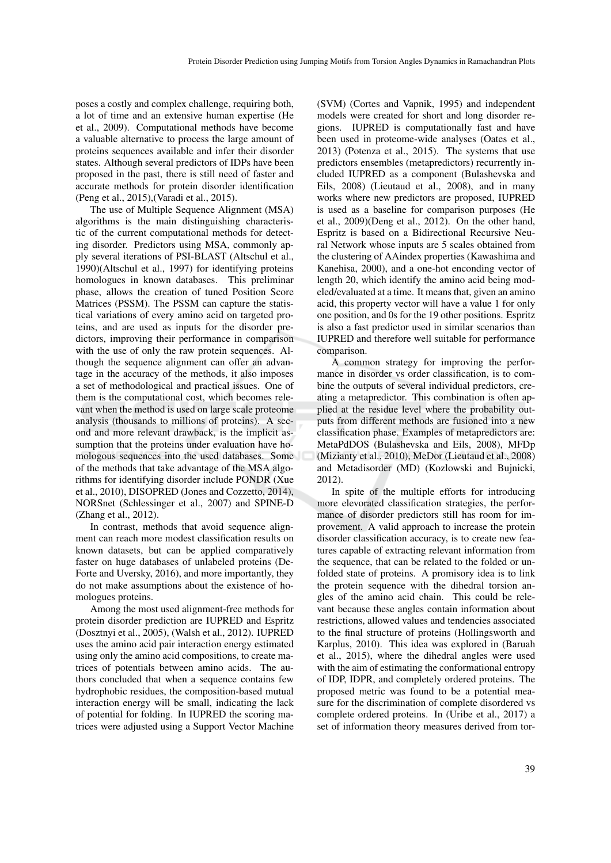poses a costly and complex challenge, requiring both, a lot of time and an extensive human expertise (He et al., 2009). Computational methods have become a valuable alternative to process the large amount of proteins sequences available and infer their disorder states. Although several predictors of IDPs have been proposed in the past, there is still need of faster and accurate methods for protein disorder identification (Peng et al., 2015),(Varadi et al., 2015).

The use of Multiple Sequence Alignment (MSA) algorithms is the main distinguishing characteristic of the current computational methods for detecting disorder. Predictors using MSA, commonly apply several iterations of PSI-BLAST (Altschul et al., 1990)(Altschul et al., 1997) for identifying proteins homologues in known databases. This preliminar phase, allows the creation of tuned Position Score Matrices (PSSM). The PSSM can capture the statistical variations of every amino acid on targeted proteins, and are used as inputs for the disorder predictors, improving their performance in comparison with the use of only the raw protein sequences. Although the sequence alignment can offer an advantage in the accuracy of the methods, it also imposes a set of methodological and practical issues. One of them is the computational cost, which becomes relevant when the method is used on large scale proteome analysis (thousands to millions of proteins). A second and more relevant drawback, is the implicit assumption that the proteins under evaluation have homologous sequences into the used databases. Some of the methods that take advantage of the MSA algorithms for identifying disorder include PONDR (Xue et al., 2010), DISOPRED (Jones and Cozzetto, 2014), NORSnet (Schlessinger et al., 2007) and SPINE-D (Zhang et al., 2012).

In contrast, methods that avoid sequence alignment can reach more modest classification results on known datasets, but can be applied comparatively faster on huge databases of unlabeled proteins (De-Forte and Uversky, 2016), and more importantly, they do not make assumptions about the existence of homologues proteins.

Among the most used alignment-free methods for protein disorder prediction are IUPRED and Espritz (Dosztnyi et al., 2005), (Walsh et al., 2012). IUPRED uses the amino acid pair interaction energy estimated using only the amino acid compositions, to create matrices of potentials between amino acids. The authors concluded that when a sequence contains few hydrophobic residues, the composition-based mutual interaction energy will be small, indicating the lack of potential for folding. In IUPRED the scoring matrices were adjusted using a Support Vector Machine

(SVM) (Cortes and Vapnik, 1995) and independent models were created for short and long disorder regions. IUPRED is computationally fast and have been used in proteome-wide analyses (Oates et al., 2013) (Potenza et al., 2015). The systems that use predictors ensembles (metapredictors) recurrently included IUPRED as a component (Bulashevska and Eils, 2008) (Lieutaud et al., 2008), and in many works where new predictors are proposed, IUPRED is used as a baseline for comparison purposes (He et al., 2009)(Deng et al., 2012). On the other hand, Espritz is based on a Bidirectional Recursive Neural Network whose inputs are 5 scales obtained from the clustering of AAindex properties (Kawashima and Kanehisa, 2000), and a one-hot enconding vector of length 20, which identify the amino acid being modeled/evaluated at a time. It means that, given an amino acid, this property vector will have a value 1 for only one position, and 0s for the 19 other positions. Espritz is also a fast predictor used in similar scenarios than IUPRED and therefore well suitable for performance comparison.

A common strategy for improving the performance in disorder vs order classification, is to combine the outputs of several individual predictors, creating a metapredictor. This combination is often applied at the residue level where the probability outputs from different methods are fusioned into a new classification phase. Examples of metapredictors are: MetaPdDOS (Bulashevska and Eils, 2008), MFDp (Mizianty et al., 2010), MeDor (Lieutaud et al., 2008) and Metadisorder (MD) (Kozlowski and Bujnicki, 2012).

In spite of the multiple efforts for introducing more elevorated classification strategies, the performance of disorder predictors still has room for improvement. A valid approach to increase the protein disorder classification accuracy, is to create new features capable of extracting relevant information from the sequence, that can be related to the folded or unfolded state of proteins. A promisory idea is to link the protein sequence with the dihedral torsion angles of the amino acid chain. This could be relevant because these angles contain information about restrictions, allowed values and tendencies associated to the final structure of proteins (Hollingsworth and Karplus, 2010). This idea was explored in (Baruah et al., 2015), where the dihedral angles were used with the aim of estimating the conformational entropy of IDP, IDPR, and completely ordered proteins. The proposed metric was found to be a potential measure for the discrimination of complete disordered vs complete ordered proteins. In (Uribe et al., 2017) a set of information theory measures derived from tor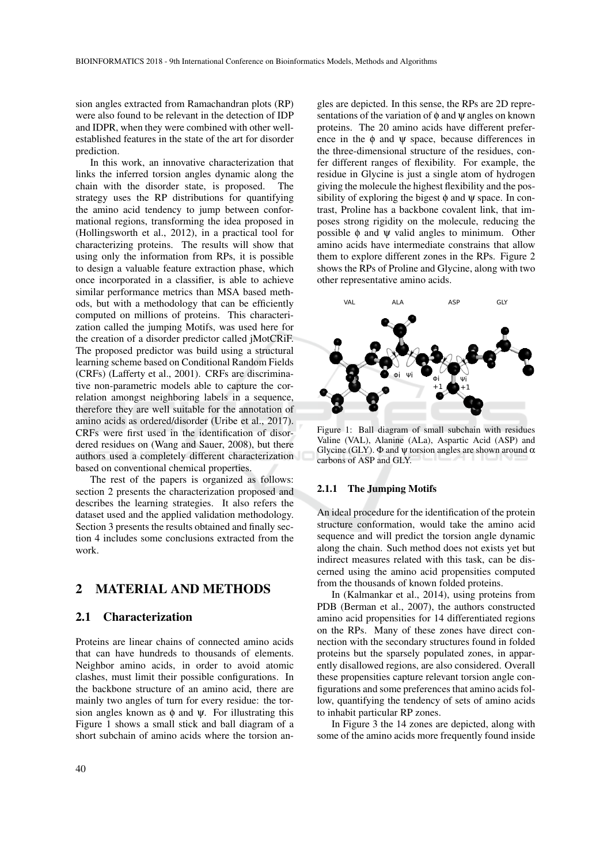sion angles extracted from Ramachandran plots (RP) were also found to be relevant in the detection of IDP and IDPR, when they were combined with other wellestablished features in the state of the art for disorder prediction.

In this work, an innovative characterization that links the inferred torsion angles dynamic along the chain with the disorder state, is proposed. The strategy uses the RP distributions for quantifying the amino acid tendency to jump between conformational regions, transforming the idea proposed in (Hollingsworth et al., 2012), in a practical tool for characterizing proteins. The results will show that using only the information from RPs, it is possible to design a valuable feature extraction phase, which once incorporated in a classifier, is able to achieve similar performance metrics than MSA based methods, but with a methodology that can be efficiently computed on millions of proteins. This characterization called the jumping Motifs, was used here for the creation of a disorder predictor called jMotCRiF. The proposed predictor was build using a structural learning scheme based on Conditional Random Fields (CRFs) (Lafferty et al., 2001). CRFs are discriminative non-parametric models able to capture the correlation amongst neighboring labels in a sequence, therefore they are well suitable for the annotation of amino acids as ordered/disorder (Uribe et al., 2017). CRFs were first used in the identification of disordered residues on (Wang and Sauer, 2008), but there authors used a completely different characterization based on conventional chemical properties.

The rest of the papers is organized as follows: section 2 presents the characterization proposed and describes the learning strategies. It also refers the dataset used and the applied validation methodology. Section 3 presents the results obtained and finally section 4 includes some conclusions extracted from the work.

## 2 MATERIAL AND METHODS

#### 2.1 Characterization

Proteins are linear chains of connected amino acids that can have hundreds to thousands of elements. Neighbor amino acids, in order to avoid atomic clashes, must limit their possible configurations. In the backbone structure of an amino acid, there are mainly two angles of turn for every residue: the torsion angles known as  $\phi$  and  $\psi$ . For illustrating this Figure 1 shows a small stick and ball diagram of a short subchain of amino acids where the torsion an-

gles are depicted. In this sense, the RPs are 2D representations of the variation of  $\phi$  and  $\psi$  angles on known proteins. The 20 amino acids have different preference in the  $\phi$  and  $\psi$  space, because differences in the three-dimensional structure of the residues, confer different ranges of flexibility. For example, the residue in Glycine is just a single atom of hydrogen giving the molecule the highest flexibility and the possibility of exploring the bigest  $\phi$  and  $\psi$  space. In contrast, Proline has a backbone covalent link, that imposes strong rigidity on the molecule, reducing the possible  $\phi$  and  $\psi$  valid angles to minimum. Other amino acids have intermediate constrains that allow them to explore different zones in the RPs. Figure 2 shows the RPs of Proline and Glycine, along with two other representative amino acids.



Figure 1: Ball diagram of small subchain with residues Valine (VAL), Alanine (ALa), Aspartic Acid (ASP) and Glycine (GLY).  $\Phi$  and  $\psi$  torsion angles are shown around  $\alpha$ carbons of ASP and GLY.

#### 2.1.1 The Jumping Motifs

An ideal procedure for the identification of the protein structure conformation, would take the amino acid sequence and will predict the torsion angle dynamic along the chain. Such method does not exists yet but indirect measures related with this task, can be discerned using the amino acid propensities computed from the thousands of known folded proteins.

In (Kalmankar et al., 2014), using proteins from PDB (Berman et al., 2007), the authors constructed amino acid propensities for 14 differentiated regions on the RPs. Many of these zones have direct connection with the secondary structures found in folded proteins but the sparsely populated zones, in apparently disallowed regions, are also considered. Overall these propensities capture relevant torsion angle configurations and some preferences that amino acids follow, quantifying the tendency of sets of amino acids to inhabit particular RP zones.

In Figure 3 the 14 zones are depicted, along with some of the amino acids more frequently found inside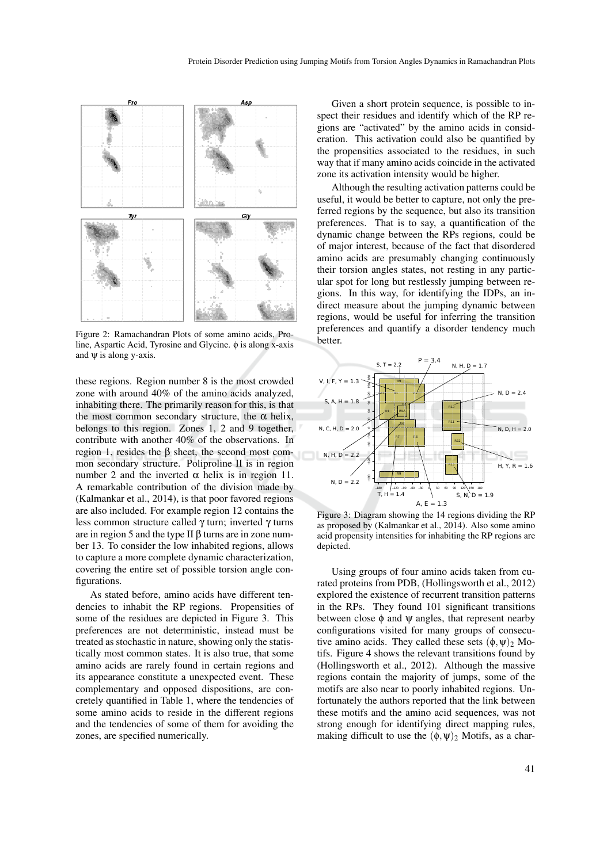

Figure 2: Ramachandran Plots of some amino acids, Proline, Aspartic Acid, Tyrosine and Glycine. φ is along x-axis and  $\psi$  is along y-axis.

these regions. Region number 8 is the most crowded zone with around 40% of the amino acids analyzed, inhabiting there. The primarily reason for this, is that the most common secondary structure, the  $\alpha$  helix, belongs to this region. Zones 1, 2 and 9 together, contribute with another 40% of the observations. In region 1, resides the β sheet, the second most common secondary structure. Poliproline II is in region number 2 and the inverted  $\alpha$  helix is in region 11. A remarkable contribution of the division made by (Kalmankar et al., 2014), is that poor favored regions are also included. For example region 12 contains the less common structure called γ turn; inverted γ turns are in region 5 and the type II  $\beta$  turns are in zone number 13. To consider the low inhabited regions, allows to capture a more complete dynamic characterization, covering the entire set of possible torsion angle configurations.

As stated before, amino acids have different tendencies to inhabit the RP regions. Propensities of some of the residues are depicted in Figure 3. This preferences are not deterministic, instead must be treated as stochastic in nature, showing only the statistically most common states. It is also true, that some amino acids are rarely found in certain regions and its appearance constitute a unexpected event. These complementary and opposed dispositions, are concretely quantified in Table 1, where the tendencies of some amino acids to reside in the different regions and the tendencies of some of them for avoiding the zones, are specified numerically.

Given a short protein sequence, is possible to inspect their residues and identify which of the RP regions are "activated" by the amino acids in consideration. This activation could also be quantified by the propensities associated to the residues, in such way that if many amino acids coincide in the activated zone its activation intensity would be higher.

Although the resulting activation patterns could be useful, it would be better to capture, not only the preferred regions by the sequence, but also its transition preferences. That is to say, a quantification of the dynamic change between the RPs regions, could be of major interest, because of the fact that disordered amino acids are presumably changing continuously their torsion angles states, not resting in any particular spot for long but restlessly jumping between regions. In this way, for identifying the IDPs, an indirect measure about the jumping dynamic between regions, would be useful for inferring the transition preferences and quantify a disorder tendency much better.



Figure 3: Diagram showing the 14 regions dividing the RP as proposed by (Kalmankar et al., 2014). Also some amino acid propensity intensities for inhabiting the RP regions are depicted.

Using groups of four amino acids taken from curated proteins from PDB, (Hollingsworth et al., 2012) explored the existence of recurrent transition patterns in the RPs. They found 101 significant transitions between close  $\phi$  and  $\psi$  angles, that represent nearby configurations visited for many groups of consecutive amino acids. They called these sets  $(\phi, \psi)_2$  Motifs. Figure 4 shows the relevant transitions found by (Hollingsworth et al., 2012). Although the massive regions contain the majority of jumps, some of the motifs are also near to poorly inhabited regions. Unfortunately the authors reported that the link between these motifs and the amino acid sequences, was not strong enough for identifying direct mapping rules, making difficult to use the  $(\phi, \psi)$  Motifs, as a char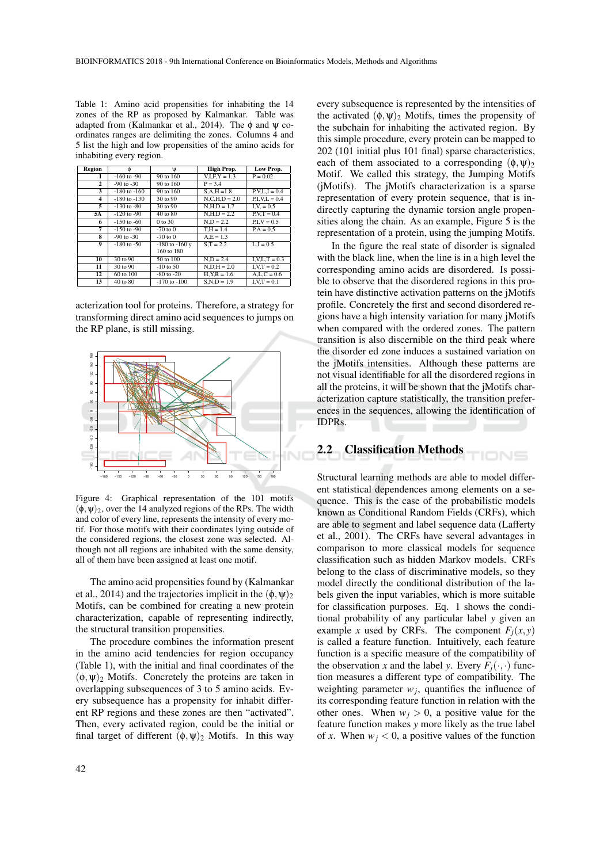Table 1: Amino acid propensities for inhabiting the 14 zones of the RP as proposed by Kalmankar. Table was adapted from (Kalmankar et al., 2014). The  $\phi$  and  $\psi$  coordinates ranges are delimiting the zones. Columns 4 and 5 list the high and low propensities of the amino acids for inhabiting every region.

| Region         | Ò                | Ψ                  | High Prop.      | Low Prop.       |
|----------------|------------------|--------------------|-----------------|-----------------|
| 1              | $-160$ to $-90$  | 90 to 160          | $V.I.F.Y = 1.3$ | $P = 0.02$      |
| $\overline{2}$ | $-90$ to $-30$   | 90 to 160          | $P = 3.4$       |                 |
| 3              | $-180$ to $-160$ | 90 to 160          | $S.A.H = 1.8$   | $P.V.L.I = 0.4$ |
| 4              | $-180$ to $-130$ | 30 to 90           | $N.C.H.D = 2.0$ | $P.I.V.L = 0.4$ |
| 5              | $-130$ to $-80$  | 30 to 90           | $N, H, D = 1.7$ | $I.V. = 0.5$    |
| 5Α             | $-120$ to $-90$  | 40 to 80           | $N.H.D = 2.2$   | $P.V.T = 0.4$   |
| 6              | $-150$ to $-60$  | 0 to 30            | $N.D = 2.2$     | $P.I.V = 0.5$   |
| 7              | $-150$ to $-90$  | $-70$ to 0         | $T.H = 1.4$     | $PA = 0.5$      |
| 8              | $-90$ to $-30$   | $-70$ to $0$       | $A.E = 1.3$     |                 |
| 9              | $-180$ to $-50$  | $-180$ to $-160$ y | $S.T = 2.2$     | $L.I = 0.5$     |
|                |                  | 160 to 180         |                 |                 |
| 10             | 30 to 90         | 50 to 100          | $N.D = 2.4$     | $I.V.L.T = 0.3$ |
| 11             | 30 to 90         | $-10$ to 50        | $N.D.H = 2.0$   | $I.V.T = 0.2$   |
| 12             | 60 to 100        | $-80$ to $-20$     | $H.Y.R = 1.6$   | $A.L.C = 0.6$   |
| 13             | 40 to 80         | $-170$ to $-100$   | $S.N.D = 1.9$   | $I.V.T = 0.1$   |

acterization tool for proteins. Therefore, a strategy for transforming direct amino acid sequences to jumps on the RP plane, is still missing.



Figure 4: Graphical representation of the 101 motifs  $(\phi, \psi)_2$ , over the 14 analyzed regions of the RPs. The width and color of every line, represents the intensity of every motif. For those motifs with their coordinates lying outside of the considered regions, the closest zone was selected. Although not all regions are inhabited with the same density, all of them have been assigned at least one motif.

The amino acid propensities found by (Kalmankar et al., 2014) and the trajectories implicit in the  $(\phi, \psi)_2$ Motifs, can be combined for creating a new protein characterization, capable of representing indirectly, the structural transition propensities.

The procedure combines the information present in the amino acid tendencies for region occupancy (Table 1), with the initial and final coordinates of the  $(\phi, \psi)_2$  Motifs. Concretely the proteins are taken in overlapping subsequences of 3 to 5 amino acids. Every subsequence has a propensity for inhabit different RP regions and these zones are then "activated". Then, every activated region, could be the initial or final target of different  $(\phi, \psi)$  Motifs. In this way

every subsequence is represented by the intensities of the activated  $(\phi, \psi)_2$  Motifs, times the propensity of the subchain for inhabiting the activated region. By this simple procedure, every protein can be mapped to 202 (101 initial plus 101 final) sparse characteristics, each of them associated to a corresponding  $(\phi, \psi)_2$ Motif. We called this strategy, the Jumping Motifs (jMotifs). The jMotifs characterization is a sparse representation of every protein sequence, that is indirectly capturing the dynamic torsion angle propensities along the chain. As an example, Figure 5 is the representation of a protein, using the jumping Motifs.

In the figure the real state of disorder is signaled with the black line, when the line is in a high level the corresponding amino acids are disordered. Is possible to observe that the disordered regions in this protein have distinctive activation patterns on the jMotifs profile. Concretely the first and second disordered regions have a high intensity variation for many jMotifs when compared with the ordered zones. The pattern transition is also discernible on the third peak where the disorder ed zone induces a sustained variation on the jMotifs intensities. Although these patterns are not visual identifiable for all the disordered regions in all the proteins, it will be shown that the jMotifs characterization capture statistically, the transition preferences in the sequences, allowing the identification of IDPRs.

IONS

## 2.2 Classification Methods

Structural learning methods are able to model different statistical dependences among elements on a sequence. This is the case of the probabilistic models known as Conditional Random Fields (CRFs), which are able to segment and label sequence data (Lafferty et al., 2001). The CRFs have several advantages in comparison to more classical models for sequence classification such as hidden Markov models. CRFs belong to the class of discriminative models, so they model directly the conditional distribution of the labels given the input variables, which is more suitable for classification purposes. Eq. 1 shows the conditional probability of any particular label *y* given an example *x* used by CRFs. The component  $F_i(x, y)$ is called a feature function. Intuitively, each feature function is a specific measure of the compatibility of the observation *x* and the label *y*. Every  $F_i(\cdot, \cdot)$  function measures a different type of compatibility. The weighting parameter  $w_j$ , quantifies the influence of its corresponding feature function in relation with the other ones. When  $w_i > 0$ , a positive value for the feature function makes *y* more likely as the true label of *x*. When  $w_i < 0$ , a positive values of the function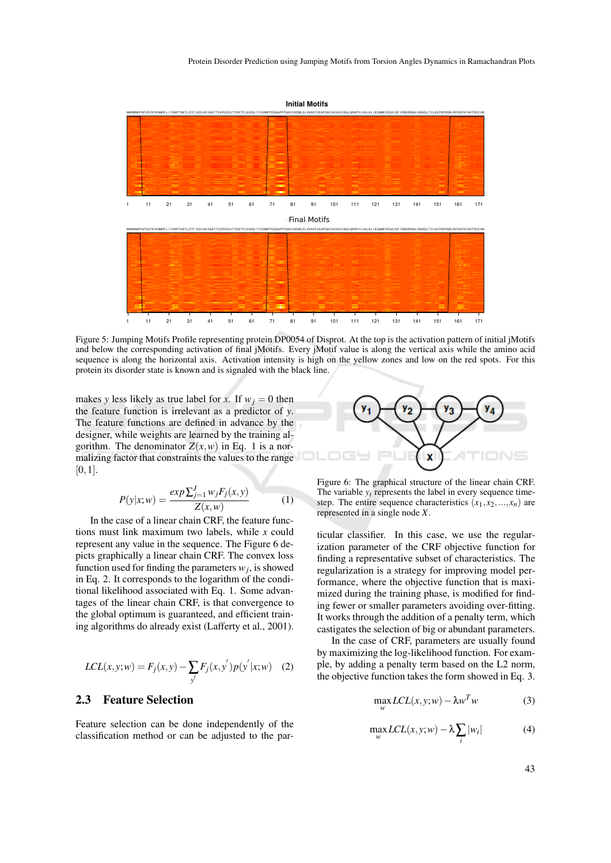

Figure 5: Jumping Motifs Profile representing protein DP0054 of Disprot. At the top is the activation pattern of initial jMotifs and below the corresponding activation of final jMotifs. Every jMotif value is along the vertical axis while the amino acid sequence is along the horizontal axis. Activation intensity is high on the yellow zones and low on the red spots. For this protein its disorder state is known and is signaled with the black line.

makes *y* less likely as true label for *x*. If  $w_j = 0$  then the feature function is irrelevant as a predictor of *y*. The feature functions are defined in advance by the designer, while weights are learned by the training algorithm. The denominator  $Z(x, w)$  in Eq. 1 is a normalizing factor that constraints the values to the range  $[0,1]$ .

$$
P(y|x;w) = \frac{\exp\sum_{j=1}^{J} w_j F_j(x,y)}{Z(x,w)}\tag{1}
$$

In the case of a linear chain CRF, the feature functions must link maximum two labels, while *x* could represent any value in the sequence. The Figure 6 depicts graphically a linear chain CRF. The convex loss function used for finding the parameters  $w_j$ , is showed in Eq. 2. It corresponds to the logarithm of the conditional likelihood associated with Eq. 1. Some advantages of the linear chain CRF, is that convergence to the global optimum is guaranteed, and efficient training algorithms do already exist (Lafferty et al., 2001).

$$
LCL(x, y; w) = F_j(x, y) - \sum_{y'} F_j(x, y') p(y' | x; w)
$$
 (2)

## 2.3 Feature Selection

Feature selection can be done independently of the classification method or can be adjusted to the par-



Figure 6: The graphical structure of the linear chain CRF. The variable  $y_t$  represents the label in every sequence timestep. The entire sequence characteristics  $(x_1, x_2, ..., x_n)$  are represented in a single node *X*.

ticular classifier. In this case, we use the regularization parameter of the CRF objective function for finding a representative subset of characteristics. The regularization is a strategy for improving model performance, where the objective function that is maximized during the training phase, is modified for finding fewer or smaller parameters avoiding over-fitting. It works through the addition of a penalty term, which castigates the selection of big or abundant parameters.

In the case of CRF, parameters are usually found by maximizing the log-likelihood function. For example, by adding a penalty term based on the L2 norm, the objective function takes the form showed in Eq. 3.

$$
\max_{w} LCL(x, y; w) - \lambda w^{T} w \tag{3}
$$

$$
\max_{w} LCL(x, y; w) - \lambda \sum_{i} |w_i|
$$
 (4)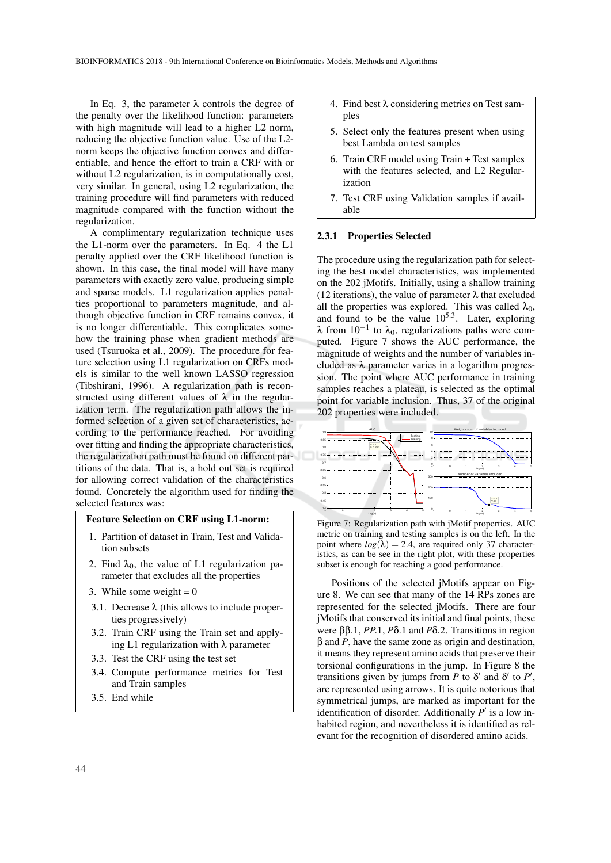In Eq. 3, the parameter  $\lambda$  controls the degree of the penalty over the likelihood function: parameters with high magnitude will lead to a higher L2 norm, reducing the objective function value. Use of the L2 norm keeps the objective function convex and differentiable, and hence the effort to train a CRF with or without L2 regularization, is in computationally cost, very similar. In general, using L2 regularization, the training procedure will find parameters with reduced magnitude compared with the function without the regularization.

A complimentary regularization technique uses the L1-norm over the parameters. In Eq. 4 the L1 penalty applied over the CRF likelihood function is shown. In this case, the final model will have many parameters with exactly zero value, producing simple and sparse models. L1 regularization applies penalties proportional to parameters magnitude, and although objective function in CRF remains convex, it is no longer differentiable. This complicates somehow the training phase when gradient methods are used (Tsuruoka et al., 2009). The procedure for feature selection using L1 regularization on CRFs models is similar to the well known LASSO regression (Tibshirani, 1996). A regularization path is reconstructed using different values of  $\lambda$  in the regularization term. The regularization path allows the informed selection of a given set of characteristics, according to the performance reached. For avoiding over fitting and finding the appropriate characteristics, the regularization path must be found on different partitions of the data. That is, a hold out set is required for allowing correct validation of the characteristics found. Concretely the algorithm used for finding the selected features was:

#### Feature Selection on CRF using L1-norm:

- 1. Partition of dataset in Train, Test and Validation subsets
- 2. Find  $\lambda_0$ , the value of L1 regularization parameter that excludes all the properties
- 3. While some weight  $= 0$
- 3.1. Decrease  $\lambda$  (this allows to include properties progressively)
- 3.2. Train CRF using the Train set and applying L1 regularization with  $\lambda$  parameter
- 3.3. Test the CRF using the test set
- 3.4. Compute performance metrics for Test and Train samples
- 3.5. End while
- 4. Find best  $\lambda$  considering metrics on Test samples
- 5. Select only the features present when using best Lambda on test samples
- 6. Train CRF model using Train + Test samples with the features selected, and L2 Regularization
- 7. Test CRF using Validation samples if available

#### 2.3.1 Properties Selected

The procedure using the regularization path for selecting the best model characteristics, was implemented on the 202 jMotifs. Initially, using a shallow training (12 iterations), the value of parameter  $\lambda$  that excluded all the properties was explored. This was called  $\lambda_0$ , and found to be the value  $10^{5.3}$ . Later, exploring  $\lambda$  from  $10^{-1}$  to  $\lambda_0$ , regularizations paths were computed. Figure 7 shows the AUC performance, the magnitude of weights and the number of variables included as  $\lambda$  parameter varies in a logarithm progression. The point where AUC performance in training samples reaches a plateau, is selected as the optimal point for variable inclusion. Thus, 37 of the original 202 properties were included.



Figure 7: Regularization path with jMotif properties. AUC metric on training and testing samples is on the left. In the point where  $log(\lambda) = 2.4$ , are required only 37 characteristics, as can be see in the right plot, with these properties subset is enough for reaching a good performance.

Positions of the selected jMotifs appear on Figure 8. We can see that many of the 14 RPs zones are represented for the selected jMotifs. There are four jMotifs that conserved its initial and final points, these were ββ.1, *PP*.1, *P*δ.1 and *P*δ.2. Transitions in region β and *P*, have the same zone as origin and destination, it means they represent amino acids that preserve their torsional configurations in the jump. In Figure 8 the transitions given by jumps from *P* to  $\delta'$  and  $\delta'$  to *P'*, are represented using arrows. It is quite notorious that symmetrical jumps, are marked as important for the identification of disorder. Additionally  $P'$  is a low inhabited region, and nevertheless it is identified as relevant for the recognition of disordered amino acids.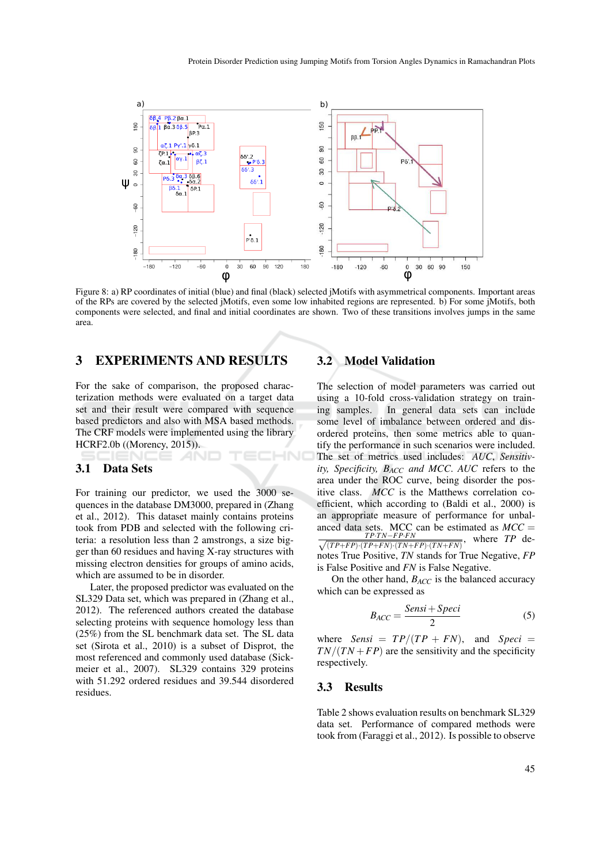

Figure 8: a) RP coordinates of initial (blue) and final (black) selected jMotifs with asymmetrical components. Important areas of the RPs are covered by the selected jMotifs, even some low inhabited regions are represented. b) For some jMotifs, both components were selected, and final and initial coordinates are shown. Two of these transitions involves jumps in the same area.

## 3 EXPERIMENTS AND RESULTS

For the sake of comparison, the proposed characterization methods were evaluated on a target data set and their result were compared with sequence based predictors and also with MSA based methods. The CRF models were implemented using the library HCRF2.0b ((Morency, 2015)). HNC

### 3.1 Data Sets

For training our predictor, we used the 3000 sequences in the database DM3000, prepared in (Zhang et al., 2012). This dataset mainly contains proteins took from PDB and selected with the following criteria: a resolution less than 2 amstrongs, a size bigger than 60 residues and having X-ray structures with missing electron densities for groups of amino acids, which are assumed to be in disorder.

Later, the proposed predictor was evaluated on the SL329 Data set, which was prepared in (Zhang et al., 2012). The referenced authors created the database selecting proteins with sequence homology less than (25%) from the SL benchmark data set. The SL data set (Sirota et al., 2010) is a subset of Disprot, the most referenced and commonly used database (Sickmeier et al., 2007). SL329 contains 329 proteins with 51.292 ordered residues and 39.544 disordered residues.

## 3.2 Model Validation

The selection of model parameters was carried out using a 10-fold cross-validation strategy on training samples. In general data sets can include some level of imbalance between ordered and disordered proteins, then some metrics able to quantify the performance in such scenarios were included. The set of metrics used includes: *AUC*, *Sensitivity, Specificity, BACC and MCC*. *AUC* refers to the area under the ROC curve, being disorder the positive class. *MCC* is the Matthews correlation coefficient, which according to (Baldi et al., 2000) is an appropriate measure of performance for unbalanced data sets. MCC can be estimated as  $MCC =$  $\frac{TP \cdot TN - FP \cdot FN}{\sqrt{(TP + FP) \cdot (TP + FN) \cdot (TN + FP)}}$  $\frac{TP \cdot TN - FP \cdot FN}{(TP + FP) \cdot (TP + FN) \cdot (TN + FP) \cdot (TN + FN)}$ , where *TP* denotes True Positive, *TN* stands for True Negative, *FP* is False Positive and *FN* is False Negative.

On the other hand, *BACC* is the balanced accuracy which can be expressed as

$$
B_{ACC} = \frac{Sensi + Speci}{2} \tag{5}
$$

where *Sensi* =  $TP/(TP + FN)$ , and *Speci* =  $TN/(TN + FP)$  are the sensitivity and the specificity respectively.

#### 3.3 Results

Table 2 shows evaluation results on benchmark SL329 data set. Performance of compared methods were took from (Faraggi et al., 2012). Is possible to observe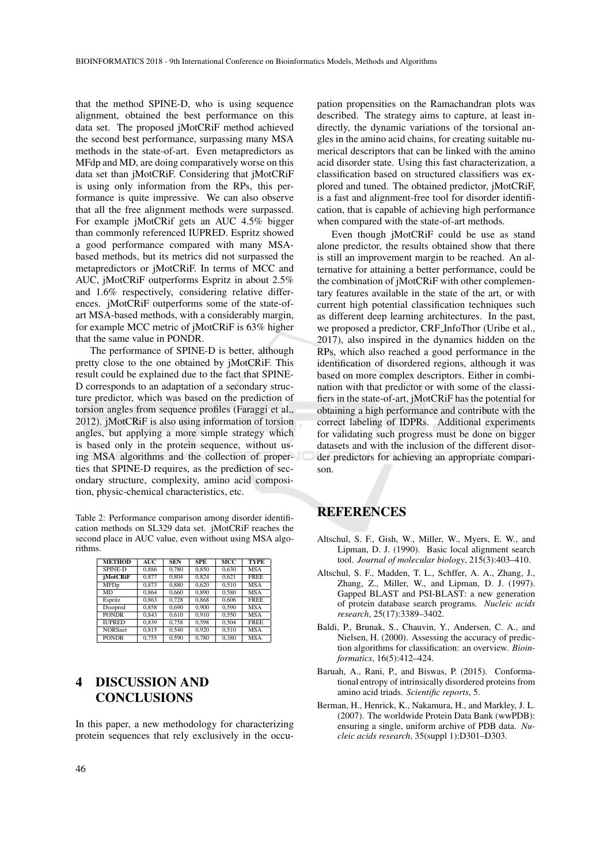that the method SPINE-D, who is using sequence alignment, obtained the best performance on this data set. The proposed jMotCRiF method achieved the second best performance, surpassing many MSA methods in the state-of-art. Even metapredictors as MFdp and MD, are doing comparatively worse on this data set than jMotCRiF. Considering that jMotCRiF is using only information from the RPs, this performance is quite impressive. We can also observe that all the free alignment methods were surpassed. For example jMotCRif gets an AUC 4.5% bigger than commonly referenced IUPRED. Espritz showed a good performance compared with many MSAbased methods, but its metrics did not surpassed the metapredictors or jMotCRiF. In terms of MCC and AUC, jMotCRiF outperforms Espritz in about 2.5% and 1.6% respectively, considering relative differences. jMotCRiF outperforms some of the state-ofart MSA-based methods, with a considerably margin, for example MCC metric of jMotCRiF is 63% higher that the same value in PONDR.

The performance of SPINE-D is better, although pretty close to the one obtained by jMotCRiF. This result could be explained due to the fact that SPINE-D corresponds to an adaptation of a secondary structure predictor, which was based on the prediction of torsion angles from sequence profiles (Faraggi et al., 2012). jMotCRiF is also using information of torsion angles, but applying a more simple strategy which is based only in the protein sequence, without using MSA algorithms and the collection of properties that SPINE-D requires, as the prediction of secondary structure, complexity, amino acid composition, physic-chemical characteristics, etc.

Table 2: Performance comparison among disorder identification methods on SL329 data set. jMotCRiF reaches the second place in AUC value, even without using MSA algorithms.

| <b>METHOD</b>   | AUC   | <b>SEN</b> | <b>SPE</b> | MCC   | <b>TYPE</b> |
|-----------------|-------|------------|------------|-------|-------------|
| <b>SPINE-D</b>  | 0.886 | 0.780      | 0.850      | 0.630 | <b>MSA</b>  |
| <i>iMotCRiF</i> | 0.877 | 0.804      | 0.824      | 0.621 | <b>FREE</b> |
| <b>MFDp</b>     | 0.873 | 0.880      | 0.620      | 0.510 | <b>MSA</b>  |
| <b>MD</b>       | 0.864 | 0.660      | 0.890      | 0.580 | <b>MSA</b>  |
| Espritz         | 0.863 | 0.728      | 0.868      | 0.606 | <b>FREE</b> |
| <b>Disopred</b> | 0.858 | 0.690      | 0.900      | 0.590 | <b>MSA</b>  |
| <b>PONDR</b>    | 0.843 | 0.610      | 0.910      | 0.550 | <b>MSA</b>  |
| <b>IUPRED</b>   | 0.839 | 0.758      | 0.598      | 0.504 | <b>FREE</b> |
| <b>NORSnet</b>  | 0.815 | 0.540      | 0.920      | 0.510 | <b>MSA</b>  |
| <b>PONDR</b>    | 0.755 | 0.590      | 0.780      | 0.380 | <b>MSA</b>  |

## 4 DISCUSSION AND CONCLUSIONS

In this paper, a new methodology for characterizing protein sequences that rely exclusively in the occupation propensities on the Ramachandran plots was described. The strategy aims to capture, at least indirectly, the dynamic variations of the torsional angles in the amino acid chains, for creating suitable numerical descriptors that can be linked with the amino acid disorder state. Using this fast characterization, a classification based on structured classifiers was explored and tuned. The obtained predictor, jMotCRiF, is a fast and alignment-free tool for disorder identification, that is capable of achieving high performance when compared with the state-of-art methods.

Even though jMotCRiF could be use as stand alone predictor, the results obtained show that there is still an improvement margin to be reached. An alternative for attaining a better performance, could be the combination of jMotCRiF with other complementary features available in the state of the art, or with current high potential classification techniques such as different deep learning architectures. In the past, we proposed a predictor, CRF InfoThor (Uribe et al., 2017), also inspired in the dynamics hidden on the RPs, which also reached a good performance in the identification of disordered regions, although it was based on more complex descriptors. Either in combination with that predictor or with some of the classifiers in the state-of-art, jMotCRiF has the potential for obtaining a high performance and contribute with the correct labeling of IDPRs. Additional experiments for validating such progress must be done on bigger datasets and with the inclusion of the different disorder predictors for achieving an appropriate comparison.

# REFERENCES

- Altschul, S. F., Gish, W., Miller, W., Myers, E. W., and Lipman, D. J. (1990). Basic local alignment search tool. *Journal of molecular biology*, 215(3):403–410.
- Altschul, S. F., Madden, T. L., Schffer, A. A., Zhang, J., Zhang, Z., Miller, W., and Lipman, D. J. (1997). Gapped BLAST and PSI-BLAST: a new generation of protein database search programs. *Nucleic acids research*, 25(17):3389–3402.
- Baldi, P., Brunak, S., Chauvin, Y., Andersen, C. A., and Nielsen, H. (2000). Assessing the accuracy of prediction algorithms for classification: an overview. *Bioinformatics*, 16(5):412–424.
- Baruah, A., Rani, P., and Biswas, P. (2015). Conformational entropy of intrinsically disordered proteins from amino acid triads. *Scientific reports*, 5.
- Berman, H., Henrick, K., Nakamura, H., and Markley, J. L. (2007). The worldwide Protein Data Bank (wwPDB): ensuring a single, uniform archive of PDB data. *Nucleic acids research*, 35(suppl 1):D301–D303.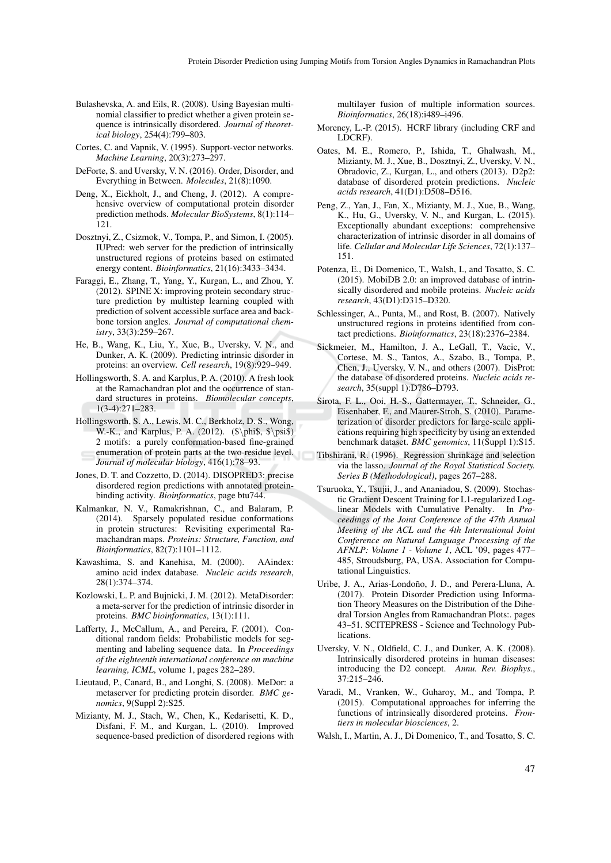- Bulashevska, A. and Eils, R. (2008). Using Bayesian multinomial classifier to predict whether a given protein sequence is intrinsically disordered. *Journal of theoretical biology*, 254(4):799–803.
- Cortes, C. and Vapnik, V. (1995). Support-vector networks. *Machine Learning*, 20(3):273–297.
- DeForte, S. and Uversky, V. N. (2016). Order, Disorder, and Everything in Between. *Molecules*, 21(8):1090.
- Deng, X., Eickholt, J., and Cheng, J. (2012). A comprehensive overview of computational protein disorder prediction methods. *Molecular BioSystems*, 8(1):114– 121.
- Dosztnyi, Z., Csizmok, V., Tompa, P., and Simon, I. (2005). IUPred: web server for the prediction of intrinsically unstructured regions of proteins based on estimated energy content. *Bioinformatics*, 21(16):3433–3434.
- Faraggi, E., Zhang, T., Yang, Y., Kurgan, L., and Zhou, Y. (2012). SPINE X: improving protein secondary structure prediction by multistep learning coupled with prediction of solvent accessible surface area and backbone torsion angles. *Journal of computational chemistry*, 33(3):259–267.
- He, B., Wang, K., Liu, Y., Xue, B., Uversky, V. N., and Dunker, A. K. (2009). Predicting intrinsic disorder in proteins: an overview. *Cell research*, 19(8):929–949.
- Hollingsworth, S. A. and Karplus, P. A. (2010). A fresh look at the Ramachandran plot and the occurrence of standard structures in proteins. *Biomolecular concepts*, 1(3-4):271–283.
- Hollingsworth, S. A., Lewis, M. C., Berkholz, D. S., Wong, W.-K., and Karplus, P. A. (2012). (\$\phi\$, \$\psi\$) 2 motifs: a purely conformation-based fine-grained enumeration of protein parts at the two-residue level. *Journal of molecular biology*, 416(1):78–93.
- Jones, D. T. and Cozzetto, D. (2014). DISOPRED3: precise disordered region predictions with annotated proteinbinding activity. *Bioinformatics*, page btu744.
- Kalmankar, N. V., Ramakrishnan, C., and Balaram, P. (2014). Sparsely populated residue conformations in protein structures: Revisiting experimental Ramachandran maps. *Proteins: Structure, Function, and Bioinformatics*, 82(7):1101–1112.
- Kawashima, S. and Kanehisa, M. (2000). AAindex: amino acid index database. *Nucleic acids research*, 28(1):374–374.
- Kozlowski, L. P. and Bujnicki, J. M. (2012). MetaDisorder: a meta-server for the prediction of intrinsic disorder in proteins. *BMC bioinformatics*, 13(1):111.
- Lafferty, J., McCallum, A., and Pereira, F. (2001). Conditional random fields: Probabilistic models for segmenting and labeling sequence data. In *Proceedings of the eighteenth international conference on machine learning, ICML*, volume 1, pages 282–289.
- Lieutaud, P., Canard, B., and Longhi, S. (2008). MeDor: a metaserver for predicting protein disorder. *BMC genomics*, 9(Suppl 2):S25.
- Mizianty, M. J., Stach, W., Chen, K., Kedarisetti, K. D., Disfani, F. M., and Kurgan, L. (2010). Improved sequence-based prediction of disordered regions with

multilayer fusion of multiple information sources. *Bioinformatics*, 26(18):i489–i496.

- Morency, L.-P. (2015). HCRF library (including CRF and LDCRF).
- Oates, M. E., Romero, P., Ishida, T., Ghalwash, M., Mizianty, M. J., Xue, B., Dosztnyi, Z., Uversky, V. N., Obradovic, Z., Kurgan, L., and others (2013). D2p2: database of disordered protein predictions. *Nucleic acids research*, 41(D1):D508–D516.
- Peng, Z., Yan, J., Fan, X., Mizianty, M. J., Xue, B., Wang, K., Hu, G., Uversky, V. N., and Kurgan, L. (2015). Exceptionally abundant exceptions: comprehensive characterization of intrinsic disorder in all domains of life. *Cellular and Molecular Life Sciences*, 72(1):137– 151.
- Potenza, E., Di Domenico, T., Walsh, I., and Tosatto, S. C. (2015). MobiDB 2.0: an improved database of intrinsically disordered and mobile proteins. *Nucleic acids research*, 43(D1):D315–D320.
- Schlessinger, A., Punta, M., and Rost, B. (2007). Natively unstructured regions in proteins identified from contact predictions. *Bioinformatics*, 23(18):2376–2384.
- Sickmeier, M., Hamilton, J. A., LeGall, T., Vacic, V., Cortese, M. S., Tantos, A., Szabo, B., Tompa, P., Chen, J., Uversky, V. N., and others (2007). DisProt: the database of disordered proteins. *Nucleic acids research*, 35(suppl 1):D786–D793.
- Sirota, F. L., Ooi, H.-S., Gattermayer, T., Schneider, G., Eisenhaber, F., and Maurer-Stroh, S. (2010). Parameterization of disorder predictors for large-scale applications requiring high specificity by using an extended benchmark dataset. *BMC genomics*, 11(Suppl 1):S15.
- Tibshirani, R. (1996). Regression shrinkage and selection via the lasso. *Journal of the Royal Statistical Society. Series B (Methodological)*, pages 267–288.
- Tsuruoka, Y., Tsujii, J., and Ananiadou, S. (2009). Stochastic Gradient Descent Training for L1-regularized Loglinear Models with Cumulative Penalty. In *Proceedings of the Joint Conference of the 47th Annual Meeting of the ACL and the 4th International Joint Conference on Natural Language Processing of the AFNLP: Volume 1 - Volume 1*, ACL '09, pages 477– 485, Stroudsburg, PA, USA. Association for Computational Linguistics.
- Uribe, J. A., Arias-Londoño, J. D., and Perera-Lluna, A. (2017). Protein Disorder Prediction using Information Theory Measures on the Distribution of the Dihedral Torsion Angles from Ramachandran Plots:. pages 43–51. SCITEPRESS - Science and Technology Publications.
- Uversky, V. N., Oldfield, C. J., and Dunker, A. K. (2008). Intrinsically disordered proteins in human diseases: introducing the D2 concept. *Annu. Rev. Biophys.*, 37:215–246.
- Varadi, M., Vranken, W., Guharoy, M., and Tompa, P. (2015). Computational approaches for inferring the functions of intrinsically disordered proteins. *Frontiers in molecular biosciences*, 2.
- Walsh, I., Martin, A. J., Di Domenico, T., and Tosatto, S. C.